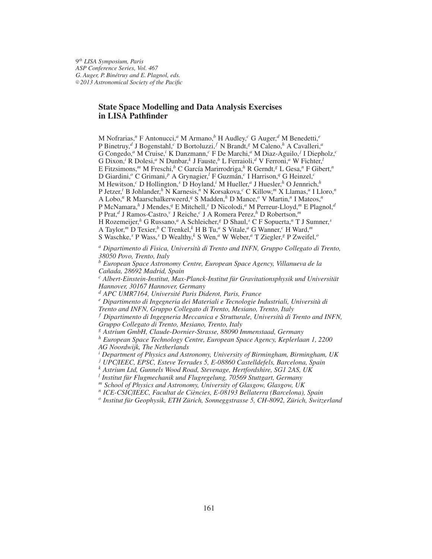9 *th LISA Symposium, Paris ASP Conference Series, Vol. 467 G. Auger, P. Bin´etruy and E. Plagnol, eds.* <sup>c</sup> *2013 Astronomical Society of the Pacific*

# **State Space Modelling and Data Analysis Exercises in LISA Pathfinder**

M Nofrarias,*<sup>n</sup>* F Antonucci,*<sup>a</sup>* M Armano,*<sup>b</sup>* H Audley,*<sup>c</sup>* G Auger,*<sup>d</sup>* M Benedetti,*<sup>e</sup>* P Binetruy,*<sup>d</sup>* J Bogenstahl,*<sup>c</sup>* D Bortoluzzi, *<sup>f</sup>* N Brandt,*<sup>g</sup>* M Caleno,*<sup>h</sup>* A Cavalleri,*<sup>a</sup>* G Congedo,*<sup>a</sup>* M Cruise,*<sup>i</sup>* K Danzmann,*<sup>c</sup>* F De Marchi,*<sup>a</sup>* M Diaz-Aguilo, *<sup>j</sup>* I Diepholz,*<sup>c</sup>* G Dixon,*<sup>i</sup>* R Dolesi,*<sup>a</sup>* N Dunbar,*<sup>k</sup>* J Fauste,*<sup>b</sup>* L Ferraioli,*<sup>d</sup>* V Ferroni,*<sup>a</sup>* W Fichter,*<sup>l</sup>* E Fitzsimons,<sup>*m*</sup> M Freschi,<sup>*b*</sup> C García Marirrodriga,<sup>*h*</sup> R Gerndt,<sup>*g*</sup> L Gesa,<sup>*n*</sup> F Gibert,<sup>*n*</sup> D Giardini,*<sup>o</sup>* C Grimani,*<sup>p</sup>* A Grynagier,*<sup>l</sup>* F Guzman, ´ *c* I Harrison,*<sup>q</sup>* G Heinzel,*<sup>c</sup>* M Hewitson,*<sup>c</sup>* D Hollington,*<sup>s</sup>* D Hoyland,*<sup>i</sup>* M Hueller,*<sup>a</sup>* J Huesler,*<sup>h</sup>* O Jennrich,*<sup>h</sup>* P Jetzer,*<sup>t</sup>* B Johlander,*<sup>h</sup>* N Karnesis,*<sup>n</sup>* N Korsakova,*<sup>c</sup>* C Killow,*<sup>m</sup>* X Llamas,*<sup>u</sup>* I Lloro,*<sup>n</sup>* A Lobo,*<sup>n</sup>* R Maarschalkerweerd,*<sup>q</sup>* S Madden,*<sup>h</sup>* D Mance,*<sup>o</sup>* V Martin,*<sup>n</sup>* I Mateos,*<sup>n</sup>* P McNamara,*<sup>h</sup>* J Mendes,*<sup>q</sup>* E Mitchell,*<sup>s</sup>* D Nicolodi,*<sup>a</sup>* M Perreur-Lloyd,*<sup>m</sup>* E Plagnol,*<sup>d</sup>* P Prat,*<sup>d</sup>* J Ramos-Castro,*<sup>v</sup>* J Reiche,*<sup>c</sup>* J A Romera Perez,*<sup>h</sup>* D Robertson,*<sup>m</sup>* H Rozemeijer,*<sup>h</sup>* G Russano,*<sup>a</sup>* A Schleicher,*<sup>g</sup>* D Shaul,*<sup>s</sup>* C F Sopuerta,*<sup>n</sup>* T J Sumner,*<sup>s</sup>* A Taylor,*<sup>m</sup>* D Texier,*<sup>b</sup>* C Trenkel,*<sup>k</sup>* H B Tu,*<sup>a</sup>* S Vitale,*<sup>a</sup>* G Wanner,*<sup>c</sup>* H Ward,*<sup>m</sup>* S Waschke,*<sup>s</sup>* P Wass,*<sup>s</sup>* D Wealthy,*<sup>k</sup>* S Wen,*<sup>a</sup>* W Weber,*<sup>a</sup>* T Ziegler,*<sup>g</sup>* P Zweifel,*<sup>o</sup>*

<sup>a</sup> Dipartimento di Fisica, Università di Trento and INFN, Gruppo Collegato di Trento, *38050 Povo, Trento, Italy*

*<sup>b</sup> European Space Astronomy Centre, European Space Agency, Villanueva de la Ca˜nada, 28692 Madrid, Spain*

<sup>c</sup> Albert-Einstein-Institut, Max-Planck-Institut für Gravitationsphysik und Universität *Hannover, 30167 Hannover, Germany*

*<sup>d</sup> APC UMR7164, Universit´e Paris Diderot, Paris, France*

<sup>e</sup> Dipartimento di Ingegneria dei Materiali e Tecnologie Industriali, Università di *Trento and INFN, Gruppo Collegato di Trento, Mesiano, Trento, Italy*

<sup>*f</sup> Dipartimento di Ingegneria Meccanica e Strutturale, Università di Trento and INFN,*</sup> *Gruppo Collegato di Trento, Mesiano, Trento, Italy*

*<sup>g</sup> Astrium GmbH, Claude-Dornier-Strasse, 88090 Immenstaad, Germany*

*<sup>h</sup> European Space Technology Centre, European Space Agency, Keplerlaan 1, 2200 AG Noordwijk, The Netherlands*

*<sup>i</sup> Department of Physics and Astronomy, University of Birmingham, Birmingham, UK*

*<sup>j</sup> UPC*/*IEEC, EPSC, Esteve Terrades 5, E-08860 Castelldefels, Barcelona, Spain*

*<sup>k</sup> Astrium Ltd, Gunnels Wood Road, Stevenage, Hertfordshire, SG1 2AS, UK*

<sup>l</sup> Institut für Flugmechanik und Flugregelung, 70569 Stuttgart, Germany

*<sup>m</sup> School of Physics and Astronomy, University of Glasgow, Glasgow, UK*

<sup>n</sup> ICE-CSIC/*IEEC, Facultat de Ciències, E-08193 Bellaterra (Barcelona), Spain* 

<sup>o</sup> Institut für Geophysik, ETH Zürich, Sonneggstrasse 5, CH-8092, Zürich, Switzerland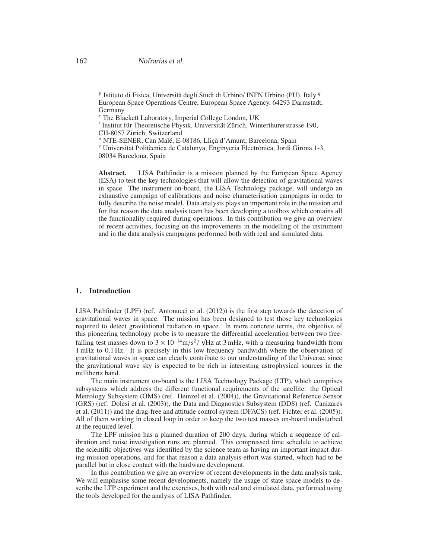<sup>p</sup> Istituto di Fisica, Università degli Studi di Urbino/ INFN Urbino (PU), Italy <sup>q</sup> European Space Operations Centre, European Space Agency, 64293 Darmstadt, Germany

*<sup>s</sup>* The Blackett Laboratory, Imperial College London, UK

<sup>t</sup> Institut für Theoretische Physik, Universität Zürich, Winterthurerstrasse 190, CH-8057 Zürich, Switzerland

<sup>u</sup> NTE-SENER, Can Malé, E-08186, Lliçà d'Amunt, Barcelona, Spain

<sup>v</sup> Universitat Politècnica de Catalunya, Enginyeria Electrònica, Jordi Girona 1-3, 08034 Barcelona, Spain

**Abstract.** LISA Pathfinder is a mission planned by the European Space Agency (ESA) to test the key technologies that will allow the detection of gravitational waves in space. The instrument on-board, the LISA Technology package, will undergo an exhaustive campaign of calibrations and noise characterisation campaigns in order to fully describe the noise model. Data analysis plays an important role in the mission and for that reason the data analysis team has been developing a toolbox which contains all the functionality required during operations. In this contribution we give an overview of recent activities, focusing on the improvements in the modelling of the instrument and in the data analysis campaigns performed both with real and simulated data.

## **1. Introduction**

LISA Pathfinder (LPF) (ref. Antonucci et al. (2012)) is the first step towards the detection of gravitational waves in space. The mission has been designed to test those key technologies required to detect gravitational radiation in space. In more concrete terms, the objective of this pioneering technology probe is to measure the differential acceleration between two freefalling test masses down to  $3 \times 10^{-14}$  m/s<sup>2</sup>/  $\sqrt{\text{Hz}}$  at 3 mHz, with a measuring bandwidth from 1 mHz to 0.1 Hz. It is precisely in this low-frequency bandwidth where the observation of gravitational waves in space can clearly contribute to our understanding of the Universe, since the gravitational wave sky is expected to be rich in interesting astrophysical sources in the millihertz band.

The main instrument on-board is the LISA Technology Package (LTP), which comprises subsystems which address the different functional requirements of the satellite: the Optical Metrology Subsystem (OMS) (ref. Heinzel et al. (2004)), the Gravitational Reference Sensor (GRS) (ref. Dolesi et al. (2003)), the Data and Diagnostics Subsystem (DDS) (ref. Canizares et al. (2011)) and the drag-free and attitude control system (DFACS) (ref. Fichter et al. (2005)). All of them working in closed loop in order to keep the two test masses on-board undisturbed at the required level.

The LPF mission has a planned duration of 200 days, during which a sequence of calibration and noise investigation runs are planned. This compressed time schedule to achieve the scientific objectives was identified by the science team as having an important impact during mission operations, and for that reason a data analysis effort was started, which had to be parallel but in close contact with the hardware development.

In this contribution we give an overview of recent developments in the data analysis task. We will emphasise some recent developments, namely the usage of state space models to describe the LTP experiment and the exercises, both with real and simulated data, performed using the tools developed for the analysis of LISA Pathfinder.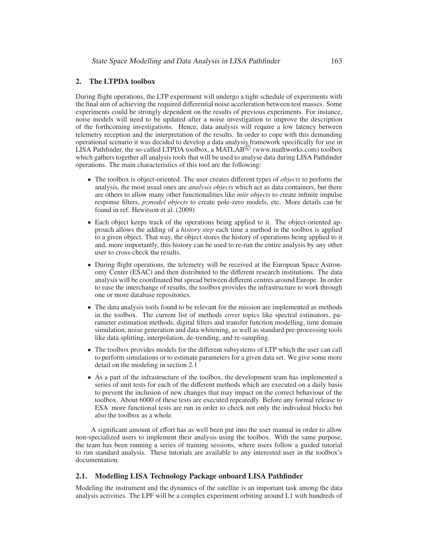# **2. The LTPDA toolbox**

During flight operations, the LTP experiment will undergo a tight schedule of experiments with the final aim of achieving the required differential noise acceleration between test masses. Some experiments could be strongly dependent on the results of previous experiments. For instance, noise models will need to be updated after a noise investigation to improve the description of the forthcoming investigations. Hence, data analysis will require a low latency between telemetry reception and the interpretation of the results. In order to cope with this demanding operational scenario it was decided to develop a data analysis framework specifically for use in LISA Pathfinder, the so-called LTPDA toolbox, a MATLAB c (www.mathworks.com) toolbox which gathers together all analysis tools that will be used to analyse data during LISA Pathfinder operations. The main characteristics of this tool are the following:

- The toolbox is object-oriented. The user creates different types of *objects* to perform the analysis, the most usual ones are *analysis objects* which act as data containers, but there are others to allow many other functionalities like *miir objects* to create infinite impulse response filters, *pzmodel objects* to create pole-zero models, etc. More details can be found in ref. Hewitson et al. (2009)
- Each object keeps track of the operations being applied to it. The object-oriented approach allows the adding of a *history step* each time a method in the toolbox is applied to a given object. That way, the object stores the history of operations being applied to it and, more importantly, this history can be used to re-run the entire analysis by any other user to cross-check the results.
- During flight operations, the telemetry will be received at the European Space Astronomy Center (ESAC) and then distributed to the different research institutions. The data analysis will be coordinated but spread between different centres around Europe. In order to ease the interchange of results, the toolbox provides the infrastructure to work through one or more database repositories.
- The data analysis tools found to be relevant for the mission are implemented as methods in the toolbox. The current list of methods cover topics like spectral estimators, parameter estimation methods, digital filters and transfer function modelling, time domain simulation, noise generation and data whitening, as well as standard pre-processing tools like data splitting, interpolation, de-trending, and re-sampling.
- The toolbox provides models for the different subsystems of LTP which the user can call to perform simulations or to estimate parameters for a given data set. We give some more detail on the modeling in section 2.1
- As a part of the infrastructure of the toolbox, the development team has implemented a series of unit tests for each of the different methods which are executed on a daily basis to prevent the inclusion of new changes that may impact on the correct behaviour of the toolbox. About 6000 of these tests are executed repeatedly. Before any formal release to ESA more functional tests are run in order to check not only the individual blocks but also the toolbox as a whole.

A significant amount of effort has as well been put into the user manual in order to allow non-specialized users to implement their analysis using the toolbox. With the same purpose, the team has been running a series of training sessions, where users follow a guided tutorial to run standard analysis. These tutorials are available to any interested user in the toolbox's documentation.

## **2.1. Modelling LISA Technology Package onboard LISA Pathfinder**

Modeling the instrument and the dynamics of the satellite is an important task among the data analysis activities. The LPF will be a complex experiment orbiting around L1 with hundreds of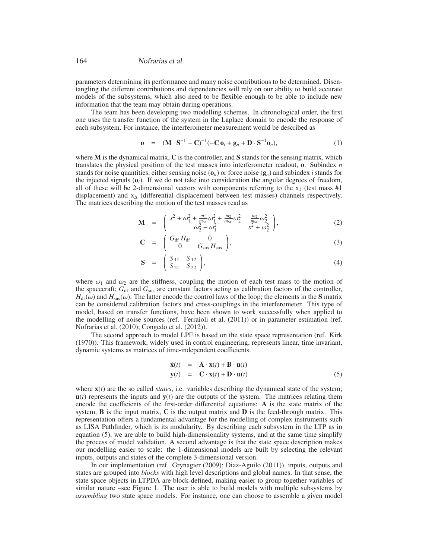#### 164 Nofrarias et al.

parameters determining its performance and many noise contributions to be determined. Disentangling the different contributions and dependencies will rely on our ability to build accurate models of the subsystems, which also need to be flexible enough to be able to include new information that the team may obtain during operations.

The team has been developing two modelling schemes. In chronological order, the first one uses the transfer function of the system in the Laplace domain to encode the response of each subsystem. For instance, the interferometer measurement would be described as

$$
\mathbf{o} = (\mathbf{M} \cdot \mathbf{S}^{-1} + \mathbf{C})^{-1} (-\mathbf{C} \, \mathbf{o}_i + \mathbf{g}_n + \mathbf{D} \cdot \mathbf{S}^{-1} \mathbf{o}_n), \tag{1}
$$

where **M** is the dynamical matrix, **C** is the controller, and **S** stands for the sensing matrix, which translates the physical position of the test masses into interferometer readout, **o**. Subindex *n* stands for noise quantities, either sensing noise  $(\mathbf{o}_n)$  or force noise  $(\mathbf{g}_n)$  and subindex *i* stands for the injected signals  $(o_i)$ . If we do not take into consideration the angular degrees of freedom, all of these will be 2-dimensional vectors with components referring to the  $x_1$  (test mass #1) displacement) and  $x<sub>∆</sub>$  (differential displacement between test masses) channels respectively. The matrices describing the motion of the test masses read as

$$
\mathbf{M} = \begin{pmatrix} s^2 + \omega_1^2 + \frac{m_1}{m_{\rm SC}} \omega_1^2 + \frac{m_2}{m_{\rm SC}} \omega_2^2 & \frac{m_2}{m_{\rm SC}} \omega_2^2 \\ \omega_2^2 - \omega_1^2 & s^2 + \omega_2^2 \end{pmatrix},
$$
(2)

$$
\mathbf{C} = \begin{pmatrix} G_{\text{df}} H_{\text{df}} & 0 \\ 0 & G_{\text{sus}} H_{\text{sus}} \end{pmatrix},\tag{3}
$$

$$
\mathbf{S} = \begin{pmatrix} S_{11} & S_{12} \\ S_{21} & S_{22} \end{pmatrix}, \tag{4}
$$

where  $\omega_1$  and  $\omega_2$  are the stiffness, coupling the motion of each test mass to the motion of the spacecraft;  $G_{\text{df}}$  and  $G_{\text{sus}}$  are constant factors acting as calibration factors of the controller,  $H_{df}(\omega)$  and  $H_{sus}(\omega)$ . The latter encode the control laws of the loop; the elements in the **S** matrix can be considered calibration factors and cross-couplings in the interferometer. This type of model, based on transfer functions, have been shown to work successfully when applied to the modelling of noise sources (ref. Ferraioli et al. (2011)) or in parameter estimation (ref. Nofrarias et al. (2010); Congedo et al. (2012)).

The second approach to model LPF is based on the state space representation (ref. Kirk (1970)). This framework, widely used in control engineering, represents linear, time invariant, dynamic systems as matrices of time-independent coefficients.

$$
\dot{\mathbf{x}}(t) = \mathbf{A} \cdot \mathbf{x}(t) + \mathbf{B} \cdot \mathbf{u}(t) \n\mathbf{y}(t) = \mathbf{C} \cdot \mathbf{x}(t) + \mathbf{D} \cdot \mathbf{u}(t)
$$
\n(5)

where **x**(*t*) are the so called *states*, i.e. variables describing the dynamical state of the system;  $u(t)$  represents the inputs and  $y(t)$  are the outputs of the system. The matrices relating them encode the coefficients of the first-order differential equations: **A** is the state matrix of the system, **B** is the input matrix, **C** is the output matrix and **D** is the feed-through matrix. This representation offers a fundamental advantage for the modelling of complex instruments such as LISA Pathfinder, which is its modularity. By describing each subsystem in the LTP as in equation (5), we are able to build high-dimensionality systems, and at the same time simplify the process of model validation. A second advantage is that the state space description makes our modelling easier to scale: the 1-dimensional models are built by selecting the relevant inputs, outputs and states of the complete 3-dimensional version.

In our implementation (ref. Grynagier (2009); Diaz-Aguilo (2011)), inputs, outputs and states are grouped into *blocks* with high level descriptions and global names. In that sense, the state space objects in LTPDA are block-defined, making easier to group together variables of similar nature –see Figure 1. The user is able to build models with multiple subsystems by *assembling* two state space models. For instance, one can choose to assemble a given model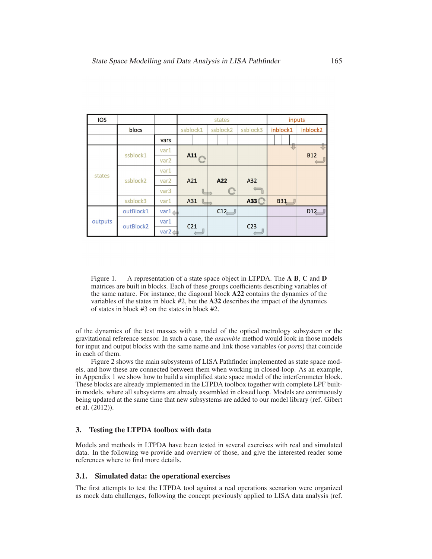| <b>IOS</b> |           |                   | states          |     |          |  |                 |  | inputs   |            |            |  |
|------------|-----------|-------------------|-----------------|-----|----------|--|-----------------|--|----------|------------|------------|--|
|            | blocs     |                   | ssblock1        |     | ssblock2 |  | ssblock3        |  | inblock1 |            | inblock2   |  |
|            |           | vars              |                 |     |          |  |                 |  |          |            |            |  |
| states     | ssblock1  | var1              | A11             |     |          |  |                 |  |          | ₩          | <b>B12</b> |  |
|            |           | var <sub>2</sub>  |                 |     |          |  |                 |  |          |            |            |  |
|            | ssblock2  | var1              |                 |     |          |  |                 |  |          |            |            |  |
|            |           | var <sub>2</sub>  | A21             |     | A22      |  | A32             |  |          |            |            |  |
|            |           | var3              |                 |     |          |  |                 |  |          |            |            |  |
|            | ssblock3  | var1              |                 | A31 |          |  | A33             |  |          | <b>B31</b> |            |  |
| outputs    | outBlock1 | var1.             |                 |     | C12      |  |                 |  |          |            | D12        |  |
|            | outBlock2 | var1              | C <sub>21</sub> |     |          |  | C <sub>23</sub> |  |          |            |            |  |
|            |           | var2 $\textbf{L}$ |                 |     |          |  |                 |  |          |            |            |  |

Figure 1. A representation of a state space object in LTPDA. The **A B**, **C** and **D** matrices are built in blocks. Each of these groups coefficients describing variables of the same nature. For instance, the diagonal block **A22** contains the dynamics of the variables of the states in block #2, but the **A32** describes the impact of the dynamics of states in block #3 on the states in block #2.

of the dynamics of the test masses with a model of the optical metrology subsystem or the gravitational reference sensor. In such a case, the *assemble* method would look in those models for input and output blocks with the same name and link those variables (or *ports*) that coincide in each of them.

Figure 2 shows the main subsystems of LISA Pathfinder implemented as state space models, and how these are connected between them when working in closed-loop. As an example, in Appendix 1 we show how to build a simplified state space model of the interferometer block. These blocks are already implemented in the LTPDA toolbox together with complete LPF builtin models, where all subsystems are already assembled in closed loop. Models are continuously being updated at the same time that new subsystems are added to our model library (ref. Gibert et al. (2012)).

## **3. Testing the LTPDA toolbox with data**

Models and methods in LTPDA have been tested in several exercises with real and simulated data. In the following we provide and overview of those, and give the interested reader some references where to find more details.

#### **3.1. Simulated data: the operational exercises**

The first attempts to test the LTPDA tool against a real operations scenarion were organized as mock data challenges, following the concept previously applied to LISA data analysis (ref.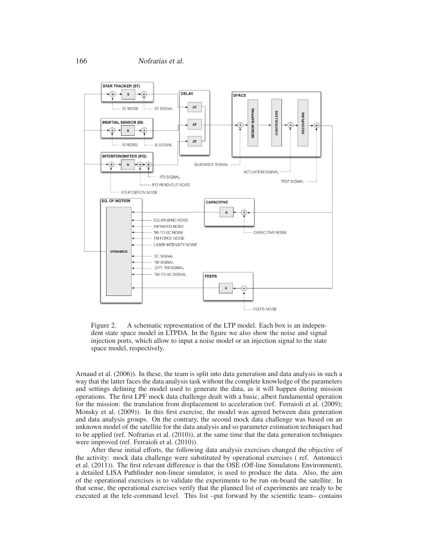

Figure 2. A schematic representation of the LTP model. Each box is an independent state space model in LTPDA. In the figure we also show the noise and signal injection ports, which allow to input a noise model or an injection signal to the state space model, respectively.

Arnaud et al. (2006)). In these, the team is split into data generation and data analysis in such a way that the latter faces the data analysis task without the complete knowledge of the parameters and settings defining the model used to generate the data, as it will happen during mission operations. The first LPF mock data challenge dealt with a basic, albeit fundamental operation for the mission: the translation from displacement to acceleration (ref. Ferraioli et al. (2009); Monsky et al. (2009)). In this first exercise, the model was agreed between data generation and data analysis groups. On the contrary, the second mock data challenge was based on an unknown model of the satellite for the data analysis and so parameter estimation techniques had to be applied (ref. Nofrarias et al. (2010)), at the same time that the data generation techniques were improved (ref. Ferraioli et al. (2010)).

After these initial efforts, the following data analysis exercises changed the objective of the activity: mock data challenge were substituted by operational exercises ( ref. Antonucci et al. (2011)). The first relevant difference is that the OSE (Off-line Simulatons Environment), a detailed LISA Pathfinder non-linear simulator, is used to produce the data. Also, the aim of the operational exercises is to validate the experiments to be run on-board the satellite. In that sense, the operational exercises verify that the planned list of experiments are ready to be executed at the tele-command level. This list –put forward by the scientific team– contains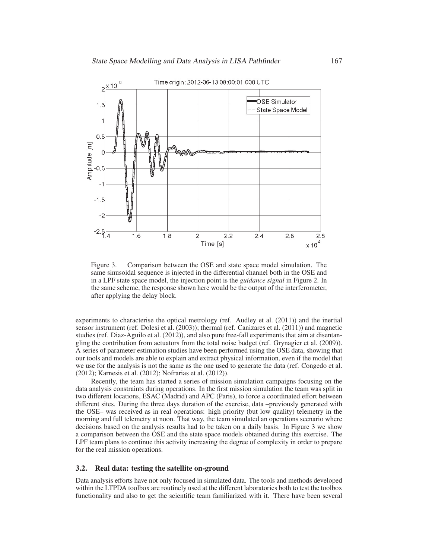

Figure 3. Comparison between the OSE and state space model simulation. The same sinusoidal sequence is injected in the differential channel both in the OSE and in a LPF state space model, the injection point is the *guidance signal* in Figure 2. In the same scheme, the response shown here would be the output of the interferometer, after applying the delay block.

experiments to characterise the optical metrology (ref. Audley et al. (2011)) and the inertial sensor instrument (ref. Dolesi et al. (2003)); thermal (ref. Canizares et al. (2011)) and magnetic studies (ref. Diaz-Aguilo et al. (2012)), and also pure free-fall experiments that aim at disentangling the contribution from actuators from the total noise budget (ref. Grynagier et al. (2009)). A series of parameter estimation studies have been performed using the OSE data, showing that our tools and models are able to explain and extract physical information, even if the model that we use for the analysis is not the same as the one used to generate the data (ref. Congedo et al. (2012); Karnesis et al. (2012); Nofrarias et al. (2012)).

Recently, the team has started a series of mission simulation campaigns focusing on the data analysis constraints during operations. In the first mission simulation the team was split in two different locations, ESAC (Madrid) and APC (Paris), to force a coordinated effort between different sites. During the three days duration of the exercise, data –previously generated with the OSE– was received as in real operations: high priority (but low quality) telemetry in the morning and full telemetry at noon. That way, the team simulated an operations scenario where decisions based on the analysis results had to be taken on a daily basis. In Figure 3 we show a comparison between the OSE and the state space models obtained during this exercise. The LPF team plans to continue this activity increasing the degree of complexity in order to prepare for the real mission operations.

## **3.2. Real data: testing the satellite on-ground**

Data analysis efforts have not only focused in simulated data. The tools and methods developed within the LTPDA toolbox are routinely used at the different laboratories both to test the toolbox functionality and also to get the scientific team familiarized with it. There have been several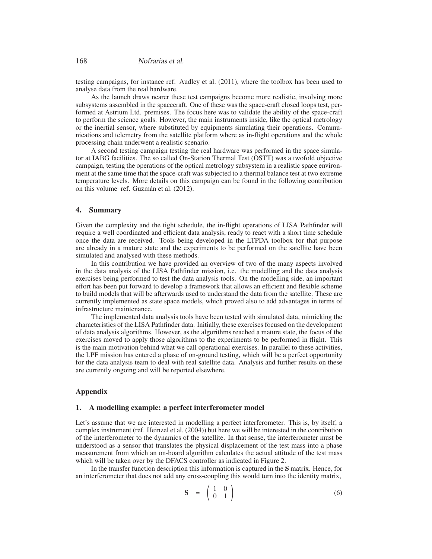testing campaigns, for instance ref. Audley et al. (2011), where the toolbox has been used to analyse data from the real hardware.

As the launch draws nearer these test campaigns become more realistic, involving more subsystems assembled in the spacecraft. One of these was the space-craft closed loops test, performed at Astrium Ltd. premises. The focus here was to validate the ability of the space-craft to perform the science goals. However, the main instruments inside, like the optical metrology or the inertial sensor, where substituted by equipments simulating their operations. Communications and telemetry from the satellite platform where as in-flight operations and the whole processing chain underwent a realistic scenario.

A second testing campaign testing the real hardware was performed in the space simulator at IABG facilities. The so called On-Station Thermal Test (OSTT) was a twofold objective campaign, testing the operations of the optical metrology subsystem in a realistic space environment at the same time that the space-craft was subjected to a thermal balance test at two extreme temperature levels. More details on this campaign can be found in the following contribution on this volume ref. Guzmán et al. (2012).

### **4. Summary**

Given the complexity and the tight schedule, the in-flight operations of LISA Pathfinder will require a well coordinated and efficient data analysis, ready to react with a short time schedule once the data are received. Tools being developed in the LTPDA toolbox for that purpose are already in a mature state and the experiments to be performed on the satellite have been simulated and analysed with these methods.

In this contribution we have provided an overview of two of the many aspects involved in the data analysis of the LISA Pathfinder mission, i.e. the modelling and the data analysis exercises being performed to test the data analysis tools. On the modelling side, an important effort has been put forward to develop a framework that allows an efficient and flexible scheme to build models that will be afterwards used to understand the data from the satellite. These are currently implemented as state space models, which proved also to add advantages in terms of infrastructure maintenance.

The implemented data analysis tools have been tested with simulated data, mimicking the characteristics of the LISA Pathfinder data. Initially, these exercises focused on the development of data analysis algorithms. However, as the algorithms reached a mature state, the focus of the exercises moved to apply those algorithms to the experiments to be performed in flight. This is the main motivation behind what we call operational exercises. In parallel to these activities, the LPF mission has entered a phase of on-ground testing, which will be a perfect opportunity for the data analysis team to deal with real satellite data. Analysis and further results on these are currently ongoing and will be reported elsewhere.

## **Appendix**

### **1. A modelling example: a perfect interferometer model**

Let's assume that we are interested in modelling a perfect interferometer. This is, by itself, a complex instrument (ref. Heinzel et al. (2004)) but here we will be interested in the contribution of the interferometer to the dynamics of the satellite. In that sense, the interferometer must be understood as a sensor that translates the physical displacement of the test mass into a phase measurement from which an on-board algorithm calculates the actual attitude of the test mass which will be taken over by the DFACS controller as indicated in Figure 2.

In the transfer function description this information is captured in the **S** matrix. Hence, for an interferometer that does not add any cross-coupling this would turn into the identity matrix,

$$
\mathbf{S} = \begin{pmatrix} 1 & 0 \\ 0 & 1 \end{pmatrix} \tag{6}
$$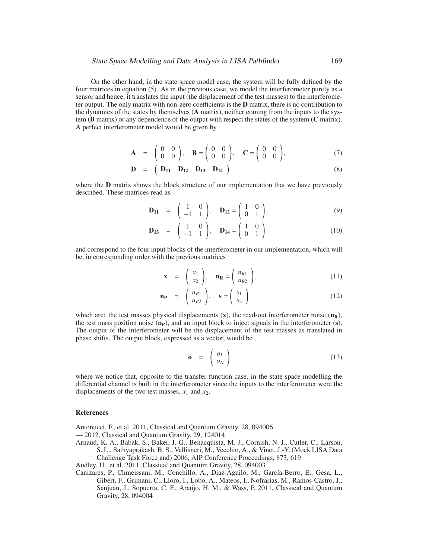On the other hand, in the state space model case, the system will be fully defined by the four matrices in equation (5). As in the previous case, we model the interferometer purely as a sensor and hence, it translates the input (the displacement of the test masses) to the interferometer output. The only matrix with non-zero coefficients is the **D** matrix, there is no contribution to the dynamics of the states by themselves (**A** matrix), neither coming from the inputs to the system (**B** matrix) or any dependence of the output with respect the states of the system (**C** matrix). A perfect interferometer model would be given by

$$
\mathbf{A} = \begin{pmatrix} 0 & 0 \\ 0 & 0 \end{pmatrix}, \quad \mathbf{B} = \begin{pmatrix} 0 & 0 \\ 0 & 0 \end{pmatrix}, \quad \mathbf{C} = \begin{pmatrix} 0 & 0 \\ 0 & 0 \end{pmatrix}, \tag{7}
$$

$$
D = (D_{11} \ D_{12} \ D_{13} \ D_{14}) \tag{8}
$$

where the **D** matrix shows the block structure of our implementation that we have previously described. These matrices read as

$$
\mathbf{D}_{11} = \begin{pmatrix} 1 & 0 \\ -1 & 1 \end{pmatrix}, \quad \mathbf{D}_{12} = \begin{pmatrix} 1 & 0 \\ 0 & 1 \end{pmatrix}, \tag{9}
$$

$$
\mathbf{D}_{13} = \begin{pmatrix} 1 & 0 \\ -1 & 1 \end{pmatrix}, \quad \mathbf{D}_{14} = \begin{pmatrix} 1 & 0 \\ 0 & 1 \end{pmatrix}
$$
 (10)

and correspond to the four input blocks of the interferometer in our implementation, which will be, in corresponding order with the previous matrices

$$
\mathbf{x} = \begin{pmatrix} x_1 \\ x_2 \end{pmatrix}, \quad \mathbf{n}_{\mathbf{R}} = \begin{pmatrix} n_{R1} \\ n_{R2} \end{pmatrix}, \tag{11}
$$

$$
\mathbf{n}_{\mathbf{P}} = \begin{pmatrix} n_{P1} \\ n_{P2} \end{pmatrix}, \quad \mathbf{s} = \begin{pmatrix} s_1 \\ s_2 \end{pmatrix} \tag{12}
$$

which are: the test masses physical displacements  $(\mathbf{x})$ , the read-out interferometer noise  $(\mathbf{n}_\mathbf{R})$ , the test mass position noise (**nP**), and an input block to inject signals in the interferometer (**s**). The output of the interferometer will be the displacement of the test masses as translated in phase shifts. The output block, expressed as a vector, would be

$$
\mathbf{o} = \begin{pmatrix} o_1 \\ o_\Delta \end{pmatrix} \tag{13}
$$

where we notice that, opposite to the transfer function case, in the state space modelling the differential channel is built in the interferometer since the inputs to the interferometer were the displacements of the two test masses,  $x_1$  and  $x_2$ .

#### **References**

Antonucci, F., et al. 2011, Classical and Quantum Gravity, 28, 094006

- 2012, Classical and Quantum Gravity, 29, 124014
- Arnaud, K. A., Babak, S., Baker, J. G., Benacquista, M. J., Cornish, N. J., Cutler, C., Larson, S. L., Sathyaprakash, B. S., Vallisneri, M., Vecchio, A., & Vinet, J.-Y. (Mock LISA Data Challenge Task Force and) 2006, AIP Conference Proceedings, 873, 619

Audley, H., et al. 2011, Classical and Quantum Gravity, 28, 094003

Canizares, P., Chmeissani, M., Conchillo, A., Diaz-Aguiló, M., García-Berro, E., Gesa, L., Gibert, F., Grimani, C., Lloro, I., Lobo, A., Mateos, I., Nofrarias, M., Ramos-Castro, J., Sanjuán, J., Sopuerta, C. F., Araújo, H. M., & Wass, P. 2011, Classical and Quantum Gravity, 28, 094004